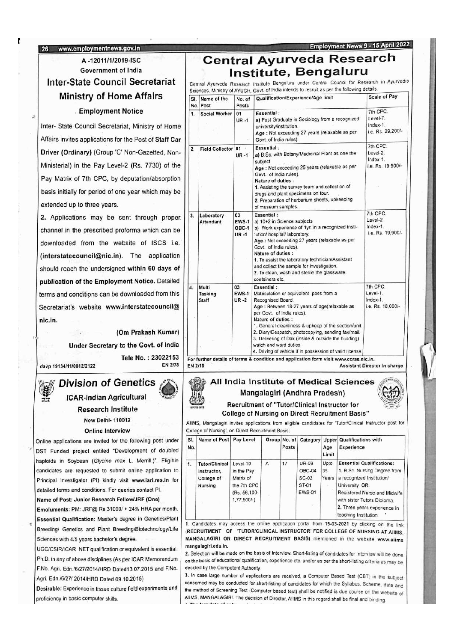#### 26 www.employmentrnews.gov.in

## A -12011/1/2019-ISC Government of India **Ministry of Home Affairs Employment Notice**

Online applications are invited for the following post under DST Funded project entiled "Development of doubled haploids in Soybean (Glycine max L. Merrill.)". Eligible candidates are requested to submit online application to Principal Investigator (PI) kindly visit www.iari.res.in for detailed terms and conditions. For queries contact Pl.

Name of Post: Junior Research Fellow/JRF (One)

Emoluments: PM: JRF@ Rs.31000/+ 24% HRA per month. Essential Qualification: Master's degree in Genetics/Plant Sciences with 4/5 years bachelor's degree.

UGC/CSIR/ICAR NET qualification or equivalent is essential. F.No. Agri. Edn./6/27/2014/HRD Dated13.07.2015 and F.No. decided by the Competent Authority Agri. Edn./6/27/ 2014/HRD Dated 09.10.2015)

### Central Ayurveda Research Institute, Bengaluru

Employment News 9 - 15 April 2022

Inter-State Council Secretariat | Central Ayurveda Research Institute Bengaluru under Central Council for Research in Ayurvedic Sciences, Ministry of AYUSH, Govt. of India intends to recruit as per the following details.

| <b>MINISTRY OF HOME ATTAIRS</b>                                                                                                                                                                                                                                                               | SI.<br>No.       | Name of the<br>Post              | No. of<br>Posts                         | Qualification/Experience/Age limit                                                                                                                                                                                                                                                                                                                                                                                                          | <b>Scale of Pay</b>                                      |
|-----------------------------------------------------------------------------------------------------------------------------------------------------------------------------------------------------------------------------------------------------------------------------------------------|------------------|----------------------------------|-----------------------------------------|---------------------------------------------------------------------------------------------------------------------------------------------------------------------------------------------------------------------------------------------------------------------------------------------------------------------------------------------------------------------------------------------------------------------------------------------|----------------------------------------------------------|
| <b>Employment Notice</b><br>Inter- State Council Secretariat, Ministry of Home<br>Affairs invites applications for the Post of Staff Car                                                                                                                                                      | 1.               | Social Worker   01               | $UR - 1$                                | <b>Essential:</b><br>a) Post Graduate in Sociology from a recognized<br>university/institution.<br>Age : Not exceeding 27 years (relaxable as per<br>Govt. of India rules).                                                                                                                                                                                                                                                                 | 7th CPC.<br>Level-7.<br>Index-1.<br>i.e. Rs. 29.200/-    |
| Driver (Ordinary) (Group 'C' Non-Gazetted, Non-<br>Ministerial) in the Pay Level-2 (Rs. 7730) of the<br>Pay Matrix of 7th CPC, by deputation/absorption<br>basis initially for period of one year which may be<br>extended up to three years.                                                 | 2.               | Field Collector 01               | $UR - 1$                                | <b>Essential:</b><br>a) B.Sc. with Botany/Medicinal Plant as one the<br>subject<br>Age : Not exceeding 25 years (relaxable as per<br>Govt. of India rules).<br>Nature of duties :<br>1. Assisting the survey team and collection of<br>drugs and plant specimens on tour.<br>2. Preparation of herbarium sheets, upkeeping<br>of museum samples.                                                                                            | 7th CPC.<br>Level-2.<br>Index-1.<br>i.e. Rs. 19,900/-    |
| 2. Applications may be sent through proper.<br>channel in the prescribed proforma which can be<br>downloaded from the website of ISCS i.e.<br>(interstatecouncil@nic.in). The application<br>should reach the undersigned within 60 days of<br>publication of the Employment Notice. Detailed | 3.               | Laboratory<br>Attendant          | 03<br><b>EWS-1</b><br>OBC-1<br>$UR - 1$ | <b>Essential:</b><br>a) 10+2 in Science subjects<br>b) Work experience of 1yr. in a recognized insti-<br>tution/ hospital/ laboratory.<br>Age: Not exceeding 27 years (relaxable as per<br>Govt. of India rules).<br>Nature of duties :<br>1. To assist the laboratory technician/Assistant<br>and collect the sample for investigation.<br>2. To clean, wash and sterile the glassware,<br>containers etc.                                 | 7th CPC.<br>Level-2.<br>$Index-1$ .<br>i.e. Rs. 19.900/- |
| terms and conditions can be downloaded from this<br>Secretariat's website www.interstatecouncil@<br>nic.in.<br>(Om Prakash Kumar)<br>Under Secretary to the Govt. of India<br>Tele No.: 23022153                                                                                              | $\overline{4}$ . | Multi<br>Tasking<br><b>Staff</b> | 03<br><b>EWS-1</b><br>$UR - 2$          | Essential:<br>Matriculation or equivalent pass from a<br>Recognised Board.<br>Age : Between 18-27 years of age(relaxable as<br>per Govt. of India rules).<br>Nature of duties :<br>1. General cleanliness & upkeep of the section/unit.<br>2. Diary/Despatch, photocopying, sending fax/mail.<br>3. Delivering of Dak (inside & outside the building)<br>watch and ward duties.<br>4. Driving of vehicle if in possession of valid license. | 7th CPC.<br>Level-1.<br>Index-1.<br>i.e. Rs. 18,000/-    |
| EN 2/78<br>davp 19134/11/0012/2122                                                                                                                                                                                                                                                            | EN 2/15          |                                  |                                         | For further details of terms & condition and application form visit www.ccras.nic.in.                                                                                                                                                                                                                                                                                                                                                       | Assistant Director In charge                             |

# Division of Genetics All India Institute of Medical Sciences ICAR-Indian Agricultural **ICAR-Indian Agricultural** ICAR-Indian Agricultural ICAR-Indian Agricultural ICAR-Indian Agricultural ICAR-Indian Agricultural ICAR-Indian Agricultural ICAR-Indian Agricultural ICAR-Indian Agricult

Research Institute<br>
New Delhi-110012<br>
New Delhi-110012<br>
New Delhi-110012

AIIMS, Mangalagiri invites applications from eligible candidates for 'Tutor/Clinical Instructor post for Online Interview College of Nursing', on Direct Recruitment Basis:

| SI.<br>No. | Name of Post Pay Level                                               |                                                                                    |   | Posts |                                                           | Age<br>Limit        | Group No. of Category Upper Qualifications with<br>Experience                                                                                                                                                                           |
|------------|----------------------------------------------------------------------|------------------------------------------------------------------------------------|---|-------|-----------------------------------------------------------|---------------------|-----------------------------------------------------------------------------------------------------------------------------------------------------------------------------------------------------------------------------------------|
| 1.         | <b>Tutor/Clinical</b><br>Instructor,<br>College of<br><b>Nursing</b> | Level-10<br>in the Pay<br>Matrix of<br>the 7th CPC<br>(Rs. 56,100-<br>$1,77,500/-$ | A | 17    | UR-09<br>OBC-04<br>$SC-02$<br>ST-01<br><b>EWS-01</b><br>知 | Upto<br>35<br>Years | <b>Essential Qualifications:</b><br>1. B.Sc. Nursing Degree from<br>a recognized Institution/<br>University. OR<br>Registered Nurse and Midwife<br>with sister Tutors Diploma.<br>2. Three years experience in<br>teaching Institution. |

1. Candidates may access the online application portal from 15-03-2021 by clicking on the link Breeding/ Genetics and Plant Breeding/Biotechnology/Life (RECRUITMENT OF TUTOR/CLINICAL INSTRUCTOR' FOR COLLEGE OF NURSING AT AIIMS, MANGALAGIRI ON DIRECT RECRUITMENT BASIS) mentioned in the website www.aiims mangalagiri.edu.in.

Ph.D. in any of above disciplines (As per ICAR Memorandum on the basis of educational qualification, experience etc. and/or as per the short-listing criteria as may be 2. Selection will be made on the basis of Interview. Short-listing of candidates for Interview will be done

Desirable: Experience in tissue culture field experiments and<br>
proficiency in basic computer skills.<br>
AIIMS, MANGALAGIRI. The decision of Director, AIIMS in this regard shall be final and binding 3. In case large number of applications are received, <sup>a</sup> Computer Based Test (CBT) in the subject concerned may be conducted for short-listing of candidates for which the Syllabus, Scheme, date and AlIMS, MANGALAGIRI. The decision of Director, AlIMS in this regard shall be final and binding.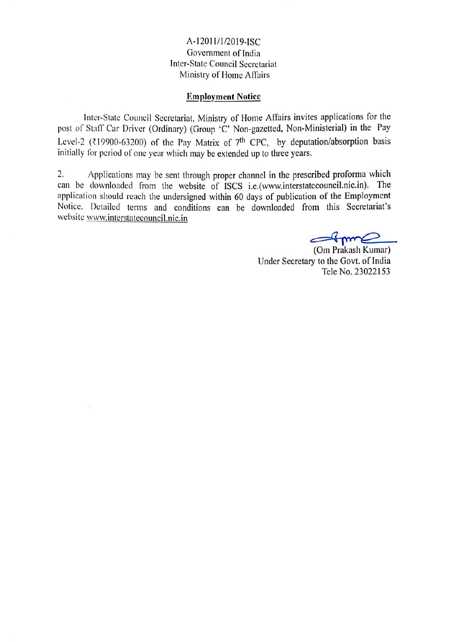A-12011/1/2019-1SC Government of India Inter-State Council Secretariat Ministry of Home Affairs

### Employment Notice

Inter-State Council Secretariat, Ministry of Home Affairs invites applications for the post of Staff Car Driver (Ordinary) (Group 'C' Non-gazetted, Non-Ministerial) in the Pay Level-2 (₹19900-63200) of the Pay Matrix of 7<sup>th</sup> CPC, by deputation/absorption basis initially for period of one year which may be extended up to three years.

2. Applications may be sent through proper channel in the prescribed proforma which can be downloaded from the website of ISCS i.e.(www.interstatecouncil.nic.in). The application should reach the undersigned within 60 days of publication of the Employment Notice. Dctailed tems and conditions can be downloaded from this Secretariat's website www.interstatecouncil.nic.in

Stamp

(Om Prakash Kumar) Under Secretary to the Govt. of India Tele No. 23022153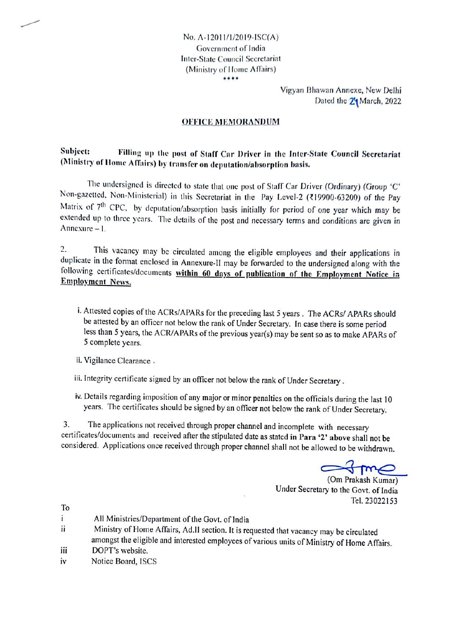No. A-12011/1/2019-1SCA) Government of India Inter-State Council Secretariat (Ministry of Home Affairs) \*\*\*\*

> Vigyan Bhawan Annexe, New Delhi Dated the 21 March, 2022

### OFFICE MEMORANDUM

#### Subject: (Ministry of llome Affairs) by transfer on deputation/absorption basis. Filling up the post of Staff Car Driver in the Inter-State Council Secretariat

The undersigned is directed to state that one post of Staff Car Driver (Ordinary) (Group 'C' Non-gazetted, Non-Ministerial) in this Secretariat in the Pay Level-2 (R19900-63200) of the Pay Matrix of 7<sup>th</sup> CPC, by deputation/absorption basis initially for period of one year which may be extended up to three years. The details of the post and necessary terms and conditions are given in Annexure - I.

2. This vacancy may be circulated among the eligible employees and their applications in duplicate in the format enclosed in Annexure-II may be forwarded to the undersigned along with the following certificates/documents within 60 days of publication of the Employment Notice in Employment News.

- i. Attested copies of the ACRs/APARs for the preceding last 5 years. The ACRs/ APARs should be attested by an officer not below the rank of Under Secretary. In case there is some period less than <sup>5</sup> years, the ACR/APARs of the previous year(s) may be sent so as to make APARs of <sup>S</sup> complete years.
- ii. Vigilance Clearance.
- iii. Integrity certificate signed by an officer not below the rank of Under Secretary.
- iv. Details regarding imposition of any major or minor penalties on the officials during the last <sup>10</sup> years. The certificates should be signed by an officer not below the rank of Under Secretary.

The applications not received through proper channel and incomplete with necessary certificates/documents and received after the stipulated date as stated in Para '2' above shall not be considered. Applications once received through proper channel shall not be allowed to be withdrawn. 3.

(Om Prakash Kumar) Under Secretary to the Govt. of India Tel. 23022153

To

- $\mathbf{i}$ All Ministries/Department of the Govt. of India
- Ministry of Home Affairs, Ad.II section. It is requested that vacancy may be circulated ii amongst the eligible and interested employees of various units of Ministry of Home Affairs.
- ii DOPT's website.
- iv Notice Board, ISCS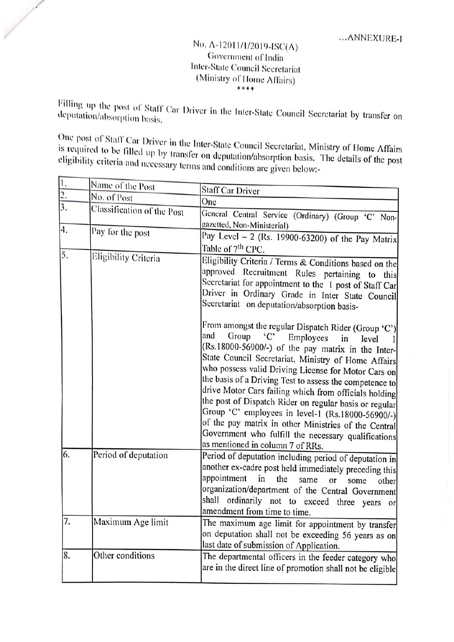## ANNEXURE-I No. A-12011/1/2019-ISC(A) Government of India Inter-State Council Secretariat (Ministry of Home Affairs)

Filling up the post of Staff Car Driver in the Inter-State Council Secretariat by transfer on<br>deputation/absorption basis.

1

One is required post of to Statf be Car Driver in the Inter-State Council Secretariat, Ministry of Home Affairs eligibility eriteria filled up by transfer on deputation/absorption basis. The details of the post and necessary terms and conditions are given below:-

| 1.            | Name of the Post           | Staff Car Driver                                                                                                                                                                                                                                                                                                                                                                                                                                                                                                                                                                                                                                                                                                              |
|---------------|----------------------------|-------------------------------------------------------------------------------------------------------------------------------------------------------------------------------------------------------------------------------------------------------------------------------------------------------------------------------------------------------------------------------------------------------------------------------------------------------------------------------------------------------------------------------------------------------------------------------------------------------------------------------------------------------------------------------------------------------------------------------|
| $\frac{2}{3}$ | No. of Post                | One                                                                                                                                                                                                                                                                                                                                                                                                                                                                                                                                                                                                                                                                                                                           |
|               | Classification of the Post | General Central Service (Ordinary) (Group 'C' Non-<br>gazetted, Non-Ministerial)                                                                                                                                                                                                                                                                                                                                                                                                                                                                                                                                                                                                                                              |
| 4.            | Pay for the post           | Pay Level $-2$ (Rs. 19900-63200) of the Pay Matrix<br>Table of 7 <sup>th</sup> CPC.                                                                                                                                                                                                                                                                                                                                                                                                                                                                                                                                                                                                                                           |
| 5.            | Eligibility Criteria       | Eligibility Criteria / Terms & Conditions based on the<br>approved Recruitment Rules pertaining to this<br>Secretariat for appointment to the 1 post of Staff Car<br>Driver in Ordinary Grade in Inter State Council<br>Secretariat on deputation/absorption basis-<br>From amongst the regular Dispatch Rider (Group 'C')<br>and<br>Group<br>C<br>Employees<br>in<br>level<br>(Rs.18000-56900/-) of the pay matrix in the Inter-<br>State Council Secretariat, Ministry of Home Affairs<br>who possess valid Driving License for Motor Cars on<br>the basis of a Driving Test to assess the competence to<br>drive Motor Cars failing which from officials holding<br>the post of Dispatch Rider on regular basis or regular |
|               |                            | Group 'C' employees in level-1 (Rs.18000-56900/-)<br>of the pay matrix in other Ministries of the Central<br>Government who fulfill the necessary qualifications<br>as mentioned in column 7 of RRs.                                                                                                                                                                                                                                                                                                                                                                                                                                                                                                                          |
| 6.            | Period of deputation       | Period of deputation including period of deputation in<br>another ex-cadre post held immediately preceding this<br>appointment<br>in<br>the<br>same<br>or<br>some<br>other<br>organization/department of the Central Government<br>shall ordinarily not to exceed three years or<br>amendment from time to time.                                                                                                                                                                                                                                                                                                                                                                                                              |
| 7.            | Maximum Age limit          | The maximum age limit for appointment by transfer<br>on deputation shall not be exceeding 56 years as on<br>last date of submission of Application.                                                                                                                                                                                                                                                                                                                                                                                                                                                                                                                                                                           |
| 8.            | Other conditions           | The departmental officers in the feeder category who<br>are in the direct line of promotion shall not be eligible                                                                                                                                                                                                                                                                                                                                                                                                                                                                                                                                                                                                             |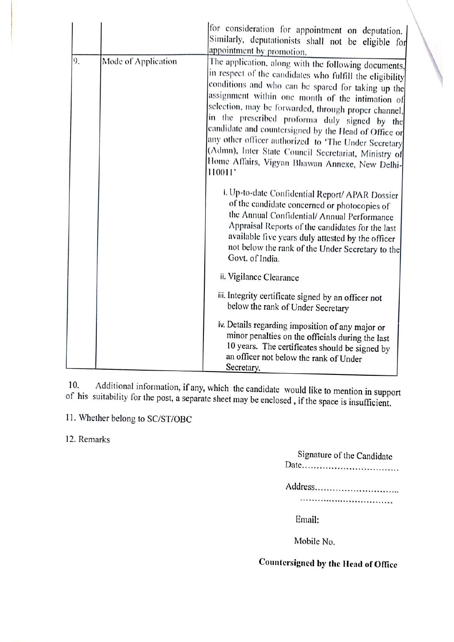|    |                     | for consideration for appointment on deputation.<br>Similarly, deputationists shall not be eligible for<br>appointment by promotion.                                                                                                                                                                                                                                                                                                                                                                                                                                     |
|----|---------------------|--------------------------------------------------------------------------------------------------------------------------------------------------------------------------------------------------------------------------------------------------------------------------------------------------------------------------------------------------------------------------------------------------------------------------------------------------------------------------------------------------------------------------------------------------------------------------|
| 9. | Mode of Application | The application, along with the following documents,<br>in respect of the candidates who fulfill the eligibility<br>conditions and who can be spared for taking up the<br>assignment within one month of the intimation of<br>selection, may be forwarded, through proper channel,<br>in the prescribed proforma duly signed by the<br>candidate and countersigned by the Head of Office or<br>any other officer authorized to 'The Under Secretary<br>(Admn), Inter State Council Secretariat, Ministry of<br>Home Affairs, Vigyan Bhawan Annexe, New Delhi-<br>110011' |
|    |                     | i. Up-to-date Confidential Report/ APAR Dossier<br>of the candidate concerned or photocopies of<br>the Annual Confidential/ Annual Performance<br>Appraisal Reports of the candidates for the last<br>available five years duly attested by the officer<br>not below the rank of the Under Secretary to the<br>Govt. of India.                                                                                                                                                                                                                                           |
|    |                     | ii. Vigilance Clearance                                                                                                                                                                                                                                                                                                                                                                                                                                                                                                                                                  |
|    |                     | iii. Integrity certificate signed by an officer not<br>below the rank of Under Secretary                                                                                                                                                                                                                                                                                                                                                                                                                                                                                 |
|    |                     | iv. Details regarding imposition of any major or<br>minor penalties on the officials during the last<br>10 years. The certificates should be signed by<br>an officer not below the rank of Under<br>Secretary.                                                                                                                                                                                                                                                                                                                                                           |

Additional information, if any, which the candidate would like to mention in support of his suitability for the post, <sup>a</sup> separate sheet may be enclosed , ifthe space is insufficient. 10.

11. Whether belong to SC/ST/OBC

12. Remarks

| Signature of the Candidate |
|----------------------------|
| Address                    |
|                            |
| Email:                     |

Mobile No.

# Countersigned by the Head of Office